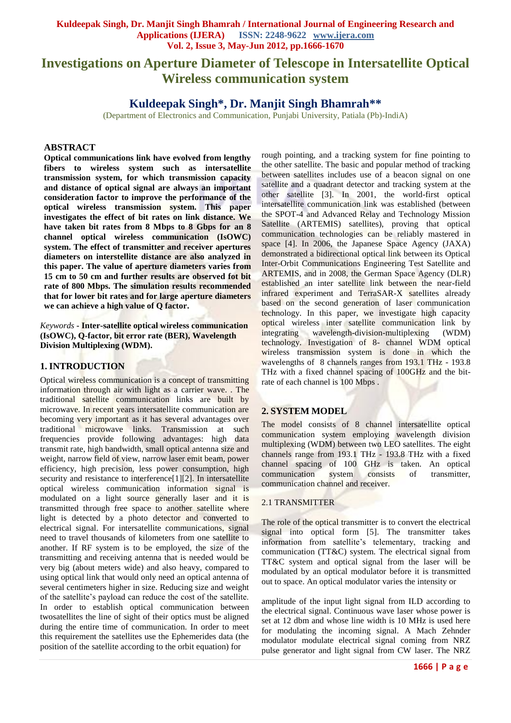# **Investigations on Aperture Diameter of Telescope in Intersatellite Optical Wireless communication system**

## **Kuldeepak Singh\*, Dr. Manjit Singh Bhamrah\*\***

(Department of Electronics and Communication, Punjabi University, Patiala (Pb)-IndiA)

### **ABSTRACT**

**Optical communications link have evolved from lengthy fibers to wireless system such as intersatellite transmission system, for which transmission capacity and distance of optical signal are always an important consideration factor to improve the performance of the optical wireless transmission system. This paper investigates the effect of bit rates on link distance. We have taken bit rates from 8 Mbps to 8 Gbps for an 8 channel optical wireless communication (IsOWC) system. The effect of transmitter and receiver apertures diameters on interstellite distance are also analyzed in this paper. The value of aperture diameters varies from 15 cm to 50 cm and further results are observed fot bit rate of 800 Mbps. The simulation results recommended that for lower bit rates and for large aperture diameters we can achieve a high value of Q factor.** 

*Keywords* **- Inter-satellite optical wireless communication (IsOWC), Q-factor, bit error rate (BER), Wavelength Division Multiplexing (WDM).**

### **1. INTRODUCTION**

Optical wireless communication is a concept of transmitting information through air with light as a carrier wave. . The traditional satellite communication links are built by microwave. In recent years intersatellite communication are becoming very important as it has several advantages over traditional microwave links. Transmission at such frequencies provide following advantages: high data transmit rate, high bandwidth, small optical antenna size and weight, narrow field of view, narrow laser emit beam, power efficiency, high precision, less power consumption, high security and resistance to interference[1][2]. In intersatellite optical wireless communication information signal is modulated on a light source generally laser and it is transmitted through free space to another satellite where light is detected by a photo detector and converted to electrical signal. For intersatellite communications, signal need to travel thousands of kilometers from one satellite to another. If RF system is to be employed, the size of the transmitting and receiving antenna that is needed would be very big (about meters wide) and also heavy, compared to using optical link that would only need an optical antenna of several centimeters higher in size. Reducing size and weight of the satellite's payload can reduce the cost of the satellite. In order to establish optical communication between twosatellites the line of sight of their optics must be aligned during the entire time of communication. In order to meet this requirement the satellites use the Ephemerides data (the position of the satellite according to the orbit equation) for

rough pointing, and a tracking system for fine pointing to the other satellite. The basic and popular method of tracking between satellites includes use of a beacon signal on one satellite and a quadrant detector and tracking system at the other satellite [3]. In 2001, the world-first optical intersatellite communication link was established (between the SPOT-4 and Advanced Relay and Technology Mission Satellite (ARTEMIS) satellites), proving that optical communication technologies can be reliably mastered in space [4]. In 2006, the Japanese Space Agency (JAXA) demonstrated a bidirectional optical link between its Optical Inter-Orbit Communications Engineering Test Satellite and ARTEMIS, and in 2008, the German Space Agency (DLR) established an inter satellite link between the near-field infrared experiment and TerraSAR-X satellites already based on the second generation of laser communication technology. In this paper, we investigate high capacity optical wireless inter satellite communication link by<br>integrating wavelength-division-multiplexing (WDM) wavelength-division-multiplexing (WDM) technology. Investigation of 8- channel WDM optical wireless transmission system is done in which the wavelengths of 8 channels ranges from 193.1 THz - 193.8 THz with a fixed channel spacing of 100GHz and the bitrate of each channel is 100 Mbps .

### **2. SYSTEM MODEL**

The model consists of 8 channel intersatellite optical communication system employing wavelength division multiplexing (WDM) between two LEO satellites. The eight channels range from 193.1 THz - 193.8 THz with a fixed channel spacing of 100 GHz is taken. An optical communication system consists of transmitter, communication channel and receiver.

#### 2.1 TRANSMITTER

The role of the optical transmitter is to convert the electrical signal into optical form [5]. The transmitter takes information from satellite's telementary, tracking and communication (TT&C) system. The electrical signal from TT&C system and optical signal from the laser will be modulated by an optical modulator before it is transmitted out to space. An optical modulator varies the intensity or

amplitude of the input light signal from ILD according to the electrical signal. Continuous wave laser whose power is set at 12 dbm and whose line width is 10 MHz is used here for modulating the incoming signal. A Mach Zehnder modulator modulate electrical signal coming from NRZ pulse generator and light signal from CW laser. The NRZ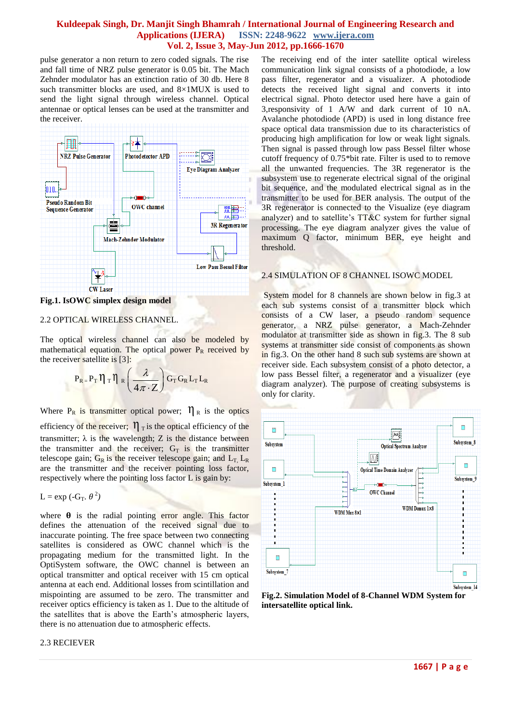pulse generator a non return to zero coded signals. The rise and fall time of NRZ pulse generator is 0.05 bit. The Mach Zehnder modulator has an extinction ratio of 30 db. Here 8 such transmitter blocks are used, and  $8\times1$ MUX is used to send the light signal through wireless channel. Optical antennae or optical lenses can be used at the transmitter and the receiver.



**Fig.1. IsOWC simplex design model**

#### 2.2 OPTICAL WIRELESS CHANNEL.

The optical wireless channel can also be modeled by mathematical equation. The optical power  $P_R$  received by the receiver satellite is [3]:

$$
P_R = P_T \eta_T \eta_R \left(\frac{\lambda}{4\pi \cdot Z}\right) G_T G_R L_T L_R
$$

Where  $P_R$  is transmitter optical power;  $\eta_R$  is the optics efficiency of the receiver;  $\eta_{\text{t}}$  is the optical efficiency of the transmitter;  $\lambda$  is the wavelength; Z is the distance between the transmitter and the receiver;  $G_T$  is the transmitter telescope gain;  $G_R$  is the receiver telescope gain; and  $L_T$ ,  $L_R$ are the transmitter and the receiver pointing loss factor, respectively where the pointing loss factor L is gain by:

$$
L = \exp(-G_T, \theta^2)
$$

where  $\theta$  is the radial pointing error angle. This factor defines the attenuation of the received signal due to inaccurate pointing. The free space between two connecting satellites is considered as OWC channel which is the propagating medium for the transmitted light. In the OptiSystem software, the OWC channel is between an optical transmitter and optical receiver with 15 cm optical antenna at each end. Additional losses from scintillation and mispointing are assumed to be zero. The transmitter and receiver optics efficiency is taken as 1. Due to the altitude of the satellites that is above the Earth's atmospheric layers, there is no attenuation due to atmospheric effects.

#### 2.3 RECIEVER

The receiving end of the inter satellite optical wireless communication link signal consists of a photodiode, a low pass filter, regenerator and a visualizer. A photodiode detects the received light signal and converts it into electrical signal. Photo detector used here have a gain of 3,responsivity of 1 A/W and dark current of 10 nA. Avalanche photodiode (APD) is used in long distance free space optical data transmission due to its characteristics of producing high amplification for low or weak light signals. Then signal is passed through low pass Bessel filter whose cutoff frequency of 0.75\*bit rate. Filter is used to to remove all the unwanted frequencies. The 3R regenerator is the subsystem use to regenerate electrical signal of the original bit sequence, and the modulated electrical signal as in the transmitter to be used for BER analysis. The output of the 3R regenerator is connected to the Visualize (eye diagram analyzer) and to satellite's  $TT&C$  system for further signal processing. The eye diagram analyzer gives the value of maximum Q factor, minimum BER, eye height and threshold.

#### 2.4 SIMULATION OF 8 CHANNEL ISOWC MODEL

System model for 8 channels are shown below in fig.3 at each sub systems consist of a transmitter block which consists of a CW laser, a pseudo random sequence generator, a NRZ pulse generator, a Mach-Zehnder modulator at transmitter side as shown in fig.3. The 8 sub systems at transmitter side consist of components as shown in fig.3. On the other hand 8 such sub systems are shown at receiver side. Each subsystem consist of a photo detector, a low pass Bessel filter, a regenerator and a visualizer (eye diagram analyzer). The purpose of creating subsystems is only for clarity.



**Fig.2. Simulation Model of 8-Channel WDM System for intersatellite optical link.**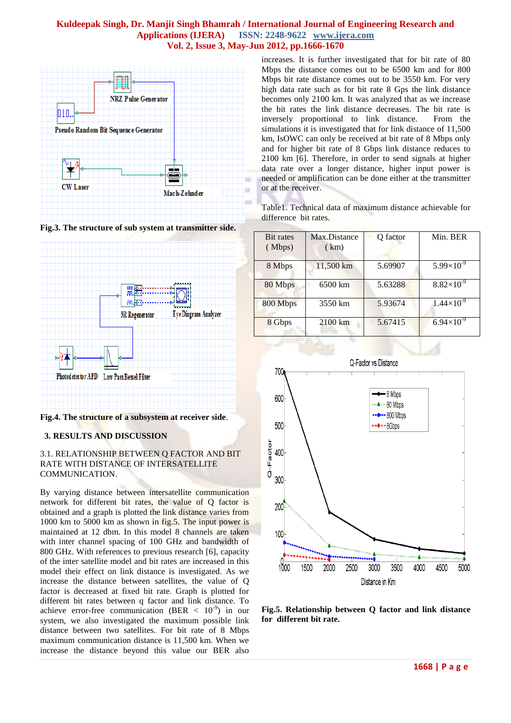

**Fig.3. The structure of sub system at transmitter side.**



**Fig.4. The structure of a subsystem at receiver side**.

#### **3. RESULTS AND DISCUSSION**

#### 3.1. RELATIONSHIP BETWEEN Q FACTOR AND BIT RATE WITH DISTANCE OF INTERSATELLITE COMMUNICATION.

By varying distance between intersatellite communication network for different bit rates, the value of Q factor is obtained and a graph is plotted the link distance varies from 1000 km to 5000 km as shown in fig.5. The input power is maintained at 12 dbm. In this model 8 channels are taken with inter channel spacing of 100 GHz and bandwidth of 800 GHz. With references to previous research [6], capacity of the inter satellite model and bit rates are increased in this model their effect on link distance is investigated. As we increase the distance between satellites, the value of Q factor is decreased at fixed bit rate. Graph is plotted for different bit rates between q factor and link distance. To achieve error-free communication (BER  $\langle 10^{-9} \rangle$  in our system, we also investigated the maximum possible link distance between two satellites. For bit rate of 8 Mbps maximum communication distance is 11,500 km. When we increase the distance beyond this value our BER also

increases. It is further investigated that for bit rate of 80 Mbps the distance comes out to be 6500 km and for 800 Mbps bit rate distance comes out to be 3550 km. For very high data rate such as for bit rate 8 Gps the link distance becomes only 2100 km. It was analyzed that as we increase the bit rates the link distance decreases. The bit rate is inversely proportional to link distance. From the simulations it is investigated that for link distance of 11,500 km, IsOWC can only be received at bit rate of 8 Mbps only and for higher bit rate of 8 Gbps link distance reduces to 2100 km [6]. Therefore, in order to send signals at higher data rate over a longer distance, higher input power is needed or amplification can be done either at the transmitter or at the receiver.

Table1. Technical data of maximum distance achievable for difference bit rates.

| <b>Bit rates</b><br>(Mbps) | Max.Distance<br>(km) | Q factor | Min. BER            |
|----------------------------|----------------------|----------|---------------------|
| 8 Mbps                     | 11,500 km            | 5.69907  | $5.99\times10^{-9}$ |
| 80 Mbps                    | 6500 km              | 5.63288  | $8.82\times10^{-9}$ |
| 800 Mbps                   | 3550 km              | 5.93674  | $1.44\times10^{-9}$ |
| 8 Gbps                     | $2100 \mathrm{km}$   | 5.67415  | $6.94\times10^{3}$  |



**Fig.5. Relationship between Q factor and link distance for different bit rate.**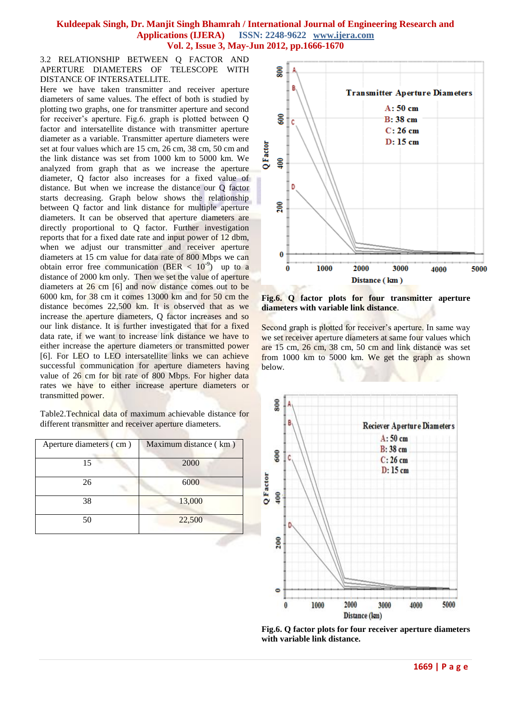3.2 RELATIONSHIP BETWEEN Q FACTOR AND APERTURE DIAMETERS OF TELESCOPE WITH DISTANCE OF INTERSATELLITE.

Here we have taken transmitter and receiver aperture diameters of same values. The effect of both is studied by plotting two graphs, one for transmitter aperture and second for receiver's aperture. Fig.6. graph is plotted between Q factor and intersatellite distance with transmitter aperture diameter as a variable. Transmitter aperture diameters were set at four values which are 15 cm, 26 cm, 38 cm, 50 cm and the link distance was set from 1000 km to 5000 km. We analyzed from graph that as we increase the aperture diameter, Q factor also increases for a fixed value of distance. But when we increase the distance our Q factor starts decreasing. Graph below shows the relationship between Q factor and link distance for multiple aperture diameters. It can be observed that aperture diameters are directly proportional to Q factor. Further investigation reports that for a fixed date rate and input power of 12 dbm, when we adjust our transmitter and receiver aperture diameters at 15 cm value for data rate of 800 Mbps we can obtain error free communication (BER  $< 10^{-9}$ ) up to a distance of 2000 km only. Then we set the value of aperture diameters at 26 cm [6] and now distance comes out to be 6000 km, for 38 cm it comes 13000 km and for 50 cm the distance becomes 22,500 km. It is observed that as we increase the aperture diameters, Q factor increases and so our link distance. It is further investigated that for a fixed data rate, if we want to increase link distance we have to either increase the aperture diameters or transmitted power [6]. For LEO to LEO intersatellite links we can achieve successful communication for aperture diameters having value of 26 cm for bit rate of 800 Mbps. For higher data rates we have to either increase aperture diameters or transmitted power.

Table2.Technical data of maximum achievable distance for different transmitter and receiver aperture diameters.

| Aperture diameters (cm) | Maximum distance (km) |  |
|-------------------------|-----------------------|--|
| 15                      | 2000                  |  |
| 26                      | 6000                  |  |
| 38                      | 13,000                |  |
| 50                      | 22,500                |  |



**Fig.6. Q factor plots for four transmitter aperture diameters with variable link distance**.

Second graph is plotted for receiver's aperture. In same way we set receiver aperture diameters at same four values which are 15 cm, 26 cm, 38 cm, 50 cm and link distance was set from 1000 km to 5000 km. We get the graph as shown below.



**Fig.6. Q factor plots for four receiver aperture diameters with variable link distance.**